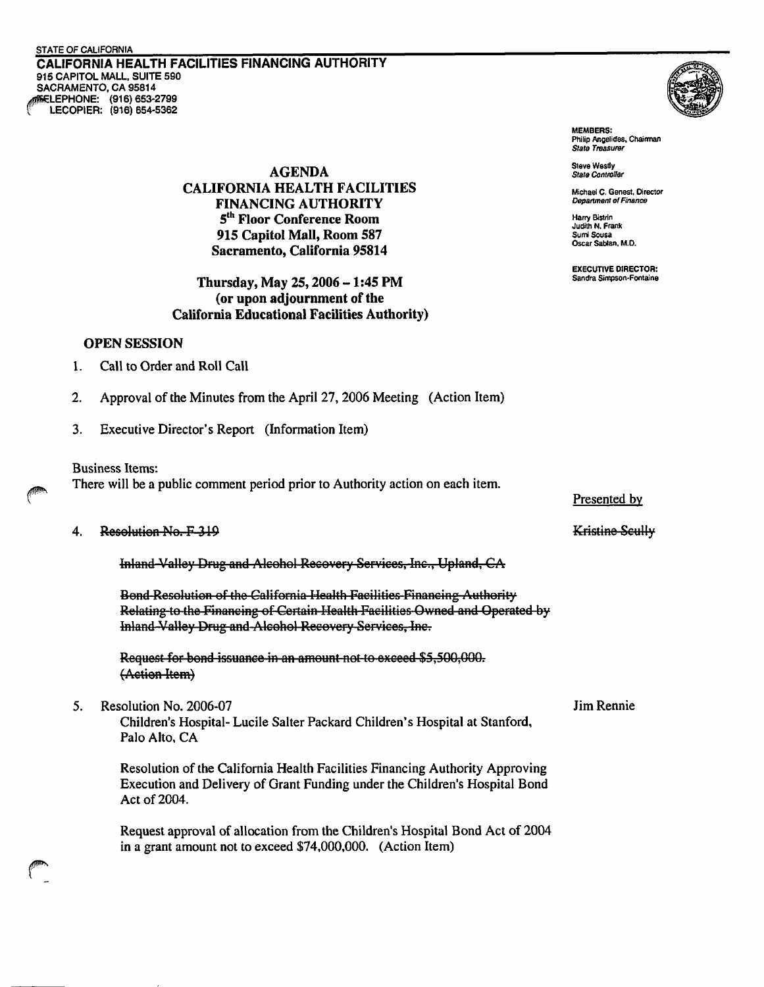CALIFORNIA HEALTH FACILITIES FINANCING AUTHORITY **915 CAPITOL MALL, SUITE 590 CRAMENTO. CA 9581 4 LEPHONE: (916) 653-2799 LECOPIER: (916) 654-5362** 



**MEMBERS: Philip Angelides. Chairman State Treasurer** 

**Judith N. Frank** 

**EXECUTIVE DIRECTOR:** 

**Steve Westly**<br> **State Controller**<br> **State Controller CALIFORNIA HEALTH FACILITIES**<br> **EINANCING AITHORITY** *Department of Finance* **Depanment of** *Finenee* **FINANCING AUTHORITY**   $5<sup>th</sup>$  Floor Conference Room **915 Capitol Mall, Room 587 suni soma Sacramento, California 95814** 

### **Sandra Sinwon-Fontaine Thursday, May 25,2006** - **1:45 PM (or upon adjournment of the California Educational Facilities Authority)**

# **OPEN SESSION**

- 1. Call to Order and Roll Call
- 2. Approval of the Minutes from the April 27,2006 Meeting (Action Item)
- 3. Executive Director's Report (Information Item)

Business Items:

There will be a public comment period prior to Authority action on each item.

#### Resolution No. F-319  $\boldsymbol{4}$ .

Inland-Valley Drug and Alcohol Recovery Services, Inc., Upland, CA

Bond-Resolution of the California-Health-Facilities-Financing-Authority Relating to the Financing of Certain Health Facilities Owned and Operated by Inland-Valley Drug and-Alcohol Recovery Services, Inc.

Request for bond issuance in an amount not to exceed \$5,500,000. (Action Item)

5. Resolution No. 2006-07 Jim Rennie

Children's Hospital- Lucile Salter Packard Children's Hospital at Stanford, Palo Alto, CA

Resolution of the California Health Facilities Financing Authority Approving Execution and Delivery of Grant Funding under the Children's Hospital Bond Act of 2004.

Request approval of allocation from the Children's Hospital Bond Act of 2004 in a grant amount not to exceed \$74,000,000. (Action Item)

Presented bv

# Kristine Scully